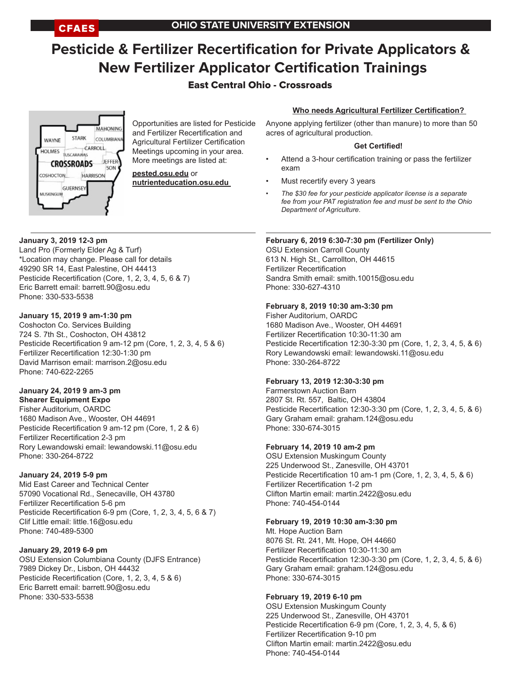# **Pesticide & Fertilizer Recertification for Private Applicators & New Fertilizer Applicator Certification Trainings**

# East Central Ohio - Crossroads

# **Who needs Agricultural Fertilizer Certification?**

**MAHONING** STARK COLUMBIAN WAYNE **CARROLL** HOLMES TUSCARAWAS JEFFER **CROSSROADS** SON **HARRISON** COSHOCTON **GUERNSE** MUSKINGUN

Opportunities are listed for Pesticide and Fertilizer Recertification and Agricultural Fertilizer Certification Meetings upcoming in your area. More meetings are listed at:

**pested.osu.edu** or **nutrienteducation.osu.edu**  Anyone applying fertilizer (other than manure) to more than 50 acres of agricultural production.

#### **Get Certified!**

- Attend a 3-hour certification training or pass the fertilizer exam
- Must recertify every 3 years
- *• The \$30 fee for your pesticide applicator license is a separate fee from your PAT registration fee and must be sent to the Ohio Department of Agriculture*.

#### **January 3, 2019 12-3 pm**

Land Pro (Formerly Elder Ag & Turf) \*Location may change. Please call for details 49290 SR 14, East Palestine, OH 44413 Pesticide Recertification (Core, 1, 2, 3, 4, 5, 6 & 7) Eric Barrett email: barrett.90@osu.edu Phone: 330-533-5538

#### **January 15, 2019 9 am-1:30 pm**

Coshocton Co. Services Building 724 S. 7th St., Coshocton, OH 43812 Pesticide Recertification 9 am-12 pm (Core, 1, 2, 3, 4, 5 & 6) Fertilizer Recertification 12:30-1:30 pm David Marrison email: marrison.2@osu.edu Phone: 740-622-2265

# **January 24, 2019 9 am-3 pm**

**Shearer Equipment Expo** Fisher Auditorium, OARDC 1680 Madison Ave., Wooster, OH 44691 Pesticide Recertification 9 am-12 pm (Core, 1, 2 & 6) Fertilizer Recertification 2-3 pm Rory Lewandowski email: lewandowski.11@osu.edu Phone: 330-264-8722

# **January 24, 2019 5-9 pm**

Mid East Career and Technical Center 57090 Vocational Rd., Senecaville, OH 43780 Fertilizer Recertification 5-6 pm Pesticide Recertification 6-9 pm (Core, 1, 2, 3, 4, 5, 6 & 7) Clif Little email: little.16@osu.edu Phone: 740-489-5300

# **January 29, 2019 6-9 pm**

OSU Extension Columbiana County (DJFS Entrance) 7989 Dickey Dr., Lisbon, OH 44432 Pesticide Recertification (Core, 1, 2, 3, 4, 5 & 6) Eric Barrett email: barrett.90@osu.edu Phone: 330-533-5538

#### **February 6, 2019 6:30-7:30 pm (Fertilizer Only)**

OSU Extension Carroll County 613 N. High St., Carrollton, OH 44615 Fertilizer Recertification Sandra Smith email: smith.10015@osu.edu Phone: 330-627-4310

#### **February 8, 2019 10:30 am-3:30 pm**

Fisher Auditorium, OARDC 1680 Madison Ave., Wooster, OH 44691 Fertilizer Recertification 10:30-11:30 am Pesticide Recertification 12:30-3:30 pm (Core, 1, 2, 3, 4, 5, & 6) Rory Lewandowski email: lewandowski.11@osu.edu Phone: 330-264-8722

# **February 13, 2019 12:30-3:30 pm**

Farmerstown Auction Barn 2807 St. Rt. 557, Baltic, OH 43804 Pesticide Recertification 12:30-3:30 pm (Core, 1, 2, 3, 4, 5, & 6) Gary Graham email: graham.124@osu.edu Phone: 330-674-3015

# **February 14, 2019 10 am-2 pm**

OSU Extension Muskingum County 225 Underwood St., Zanesville, OH 43701 Pesticide Recertification 10 am-1 pm (Core, 1, 2, 3, 4, 5, & 6) Fertilizer Recertification 1-2 pm Clifton Martin email: martin.2422@osu.edu Phone: 740-454-0144

#### **February 19, 2019 10:30 am-3:30 pm**

Mt. Hope Auction Barn 8076 St. Rt. 241, Mt. Hope, OH 44660 Fertilizer Recertification 10:30-11:30 am Pesticide Recertification 12:30-3:30 pm (Core, 1, 2, 3, 4, 5, & 6) Gary Graham email: graham.124@osu.edu Phone: 330-674-3015

#### **February 19, 2019 6-10 pm**

OSU Extension Muskingum County 225 Underwood St., Zanesville, OH 43701 Pesticide Recertification 6-9 pm (Core, 1, 2, 3, 4, 5, & 6) Fertilizer Recertification 9-10 pm Clifton Martin email: martin.2422@osu.edu Phone: 740-454-0144